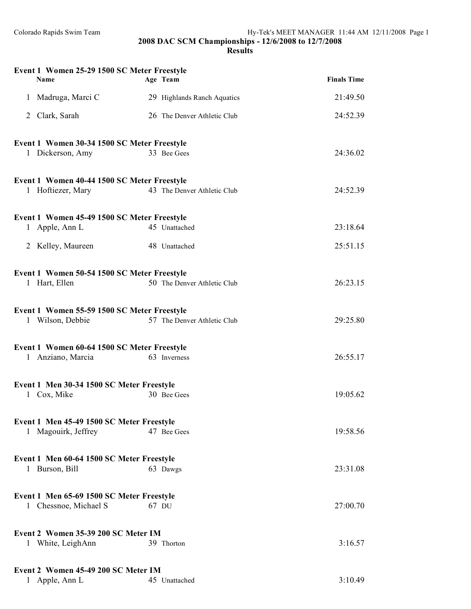| Event 1 Women 25-29 1500 SC Meter Freestyle<br><b>Name</b> | Age Team                    | <b>Finals Time</b> |
|------------------------------------------------------------|-----------------------------|--------------------|
| 1 Madruga, Marci C                                         | 29 Highlands Ranch Aquatics | 21:49.50           |
| Clark, Sarah<br>2                                          | 26 The Denver Athletic Club | 24:52.39           |
| Event 1 Women 30-34 1500 SC Meter Freestyle                |                             |                    |
| 1 Dickerson, Amy                                           | 33 Bee Gees                 | 24:36.02           |
| Event 1 Women 40-44 1500 SC Meter Freestyle                |                             |                    |
| 1 Hoftiezer, Mary                                          | 43 The Denver Athletic Club | 24:52.39           |
| Event 1 Women 45-49 1500 SC Meter Freestyle                |                             |                    |
| 1 Apple, Ann L                                             | 45 Unattached               | 23:18.64           |
| 2 Kelley, Maureen                                          | 48 Unattached               | 25:51.15           |
| Event 1 Women 50-54 1500 SC Meter Freestyle                |                             |                    |
| 1 Hart, Ellen                                              | 50 The Denver Athletic Club | 26:23.15           |
| Event 1 Women 55-59 1500 SC Meter Freestyle                |                             |                    |
| 1 Wilson, Debbie                                           | 57 The Denver Athletic Club | 29:25.80           |
| Event 1 Women 60-64 1500 SC Meter Freestyle                |                             |                    |
| 1 Anziano, Marcia                                          | 63 Inverness                | 26:55.17           |
| Event 1 Men 30-34 1500 SC Meter Freestyle                  |                             |                    |
| 1 Cox, Mike                                                | 30 Bee Gees                 | 19:05.62           |
| Event 1 Men 45-49 1500 SC Meter Freestyle                  |                             |                    |
| 1 Magouirk, Jeffrey                                        | 47 Bee Gees                 | 19:58.56           |
| Event 1 Men 60-64 1500 SC Meter Freestyle                  |                             |                    |
| 1 Burson, Bill                                             | 63 Dawgs                    | 23:31.08           |
| Event 1 Men 65-69 1500 SC Meter Freestyle                  |                             |                    |
| 1 Chessnoe, Michael S                                      | 67 DU                       | 27:00.70           |
| Event 2 Women 35-39 200 SC Meter IM                        |                             |                    |
| 1 White, LeighAnn                                          | 39 Thorton                  | 3:16.57            |
| Event 2 Women 45-49 200 SC Meter IM                        |                             |                    |
| 1 Apple, Ann L                                             | 45 Unattached               | 3:10.49            |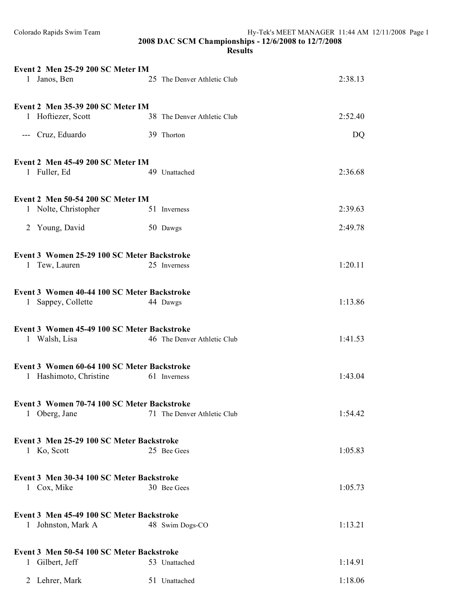| Event 2 Men 25-29 200 SC Meter IM<br>1 Janos, Ben | 25 The Denver Athletic Club | 2:38.13 |
|---------------------------------------------------|-----------------------------|---------|
| Event 2 Men 35-39 200 SC Meter IM                 |                             |         |
| 1 Hoftiezer, Scott                                | 38 The Denver Athletic Club | 2:52.40 |
| --- Cruz, Eduardo                                 | 39 Thorton                  | DQ      |
| Event 2 Men 45-49 200 SC Meter IM                 |                             |         |
| 1 Fuller, Ed                                      | 49 Unattached               | 2:36.68 |
| Event 2 Men 50-54 200 SC Meter IM                 |                             |         |
| 1 Nolte, Christopher                              | 51 Inverness                | 2:39.63 |
| 2 Young, David                                    | 50 Dawgs                    | 2:49.78 |
|                                                   |                             |         |
| Event 3 Women 25-29 100 SC Meter Backstroke       |                             |         |
| 1 Tew, Lauren                                     | 25 Inverness                | 1:20.11 |
| Event 3 Women 40-44 100 SC Meter Backstroke       |                             |         |
| 1 Sappey, Collette                                | 44 Dawgs                    | 1:13.86 |
| Event 3 Women 45-49 100 SC Meter Backstroke       |                             |         |
| 1 Walsh, Lisa                                     | 46 The Denver Athletic Club | 1:41.53 |
|                                                   |                             |         |
| Event 3 Women 60-64 100 SC Meter Backstroke       |                             |         |
| 1 Hashimoto, Christine                            | 61 Inverness                | 1:43.04 |
| Event 3 Women 70-74 100 SC Meter Backstroke       |                             |         |
| 1 Oberg, Jane                                     | 71 The Denver Athletic Club | 1:54.42 |
| Event 3 Men 25-29 100 SC Meter Backstroke         |                             |         |
| 1 Ko, Scott                                       | 25 Bee Gees                 | 1:05.83 |
|                                                   |                             |         |
| Event 3 Men 30-34 100 SC Meter Backstroke         |                             |         |
| 1 Cox, Mike                                       | 30 Bee Gees                 | 1:05.73 |
| Event 3 Men 45-49 100 SC Meter Backstroke         |                             |         |
| 1 Johnston, Mark A                                | 48 Swim Dogs-CO             | 1:13.21 |
| Event 3 Men 50-54 100 SC Meter Backstroke         |                             |         |
| 1 Gilbert, Jeff                                   | 53 Unattached               | 1:14.91 |
| 2 Lehrer, Mark                                    | 51 Unattached               | 1:18.06 |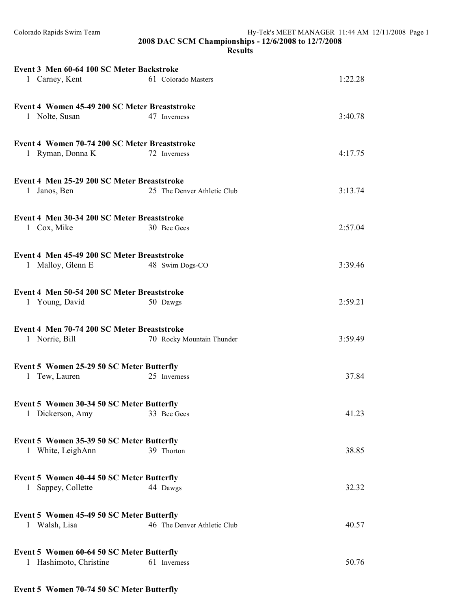#### **Results**

| Event 3 Men 60-64 100 SC Meter Backstroke                           |                             |         |
|---------------------------------------------------------------------|-----------------------------|---------|
| 1 Carney, Kent                                                      | 61 Colorado Masters         | 1:22.28 |
|                                                                     |                             |         |
| Event 4 Women 45-49 200 SC Meter Breaststroke                       |                             |         |
| 1 Nolte, Susan                                                      | 47 Inverness                | 3:40.78 |
|                                                                     |                             |         |
| Event 4 Women 70-74 200 SC Meter Breaststroke                       |                             |         |
| 1 Ryman, Donna K                                                    | 72 Inverness                | 4:17.75 |
|                                                                     |                             |         |
| Event 4 Men 25-29 200 SC Meter Breaststroke                         |                             |         |
| 1 Janos, Ben                                                        | 25 The Denver Athletic Club | 3:13.74 |
|                                                                     |                             |         |
| Event 4 Men 30-34 200 SC Meter Breaststroke                         |                             |         |
| 1 Cox, Mike                                                         | 30 Bee Gees                 | 2:57.04 |
|                                                                     |                             |         |
| Event 4 Men 45-49 200 SC Meter Breaststroke                         |                             |         |
| 1 Malloy, Glenn E                                                   | 48 Swim Dogs-CO             | 3:39.46 |
|                                                                     |                             |         |
| Event 4 Men 50-54 200 SC Meter Breaststroke                         |                             |         |
| 1 Young, David                                                      | 50 Dawgs                    | 2:59.21 |
|                                                                     |                             |         |
| Event 4 Men 70-74 200 SC Meter Breaststroke                         |                             | 3:59.49 |
| 1 Norrie, Bill                                                      | 70 Rocky Mountain Thunder   |         |
|                                                                     |                             |         |
| Event 5 Women 25-29 50 SC Meter Butterfly<br>1 Tew, Lauren          | 25 Inverness                | 37.84   |
|                                                                     |                             |         |
| Event 5 Women 30-34 50 SC Meter Butterfly                           |                             |         |
| 1 Dickerson, Amy                                                    | 33 Bee Gees                 | 41.23   |
|                                                                     |                             |         |
| Event 5 Women 35-39 50 SC Meter Butterfly                           |                             |         |
| 1 White, LeighAnn                                                   | 39 Thorton                  | 38.85   |
|                                                                     |                             |         |
| Event 5 Women 40-44 50 SC Meter Butterfly                           |                             |         |
| 1 Sappey, Collette                                                  | 44 Dawgs                    | 32.32   |
|                                                                     |                             |         |
| Event 5 Women 45-49 50 SC Meter Butterfly                           |                             |         |
|                                                                     |                             |         |
|                                                                     |                             |         |
| 1 Walsh, Lisa                                                       | 46 The Denver Athletic Club | 40.57   |
|                                                                     |                             |         |
| Event 5 Women 60-64 50 SC Meter Butterfly<br>1 Hashimoto, Christine | 61 Inverness                | 50.76   |

# **Event 5 Women 70-74 50 SC Meter Butterfly**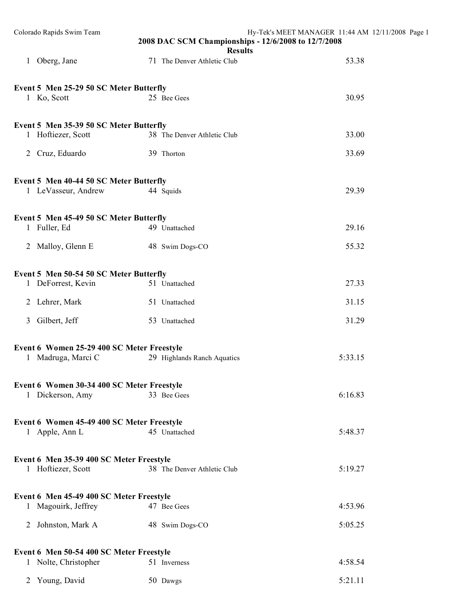| Colorado Rapids Swim Team                                        | 2008 DAC SCM Championships - 12/6/2008 to 12/7/2008<br><b>Results</b> | Hy-Tek's MEET MANAGER 11:44 AM 12/11/2008 Page 1 |
|------------------------------------------------------------------|-----------------------------------------------------------------------|--------------------------------------------------|
| 1 Oberg, Jane                                                    | 71 The Denver Athletic Club                                           | 53.38                                            |
| Event 5 Men 25-29 50 SC Meter Butterfly<br>1 Ko, Scott           | 25 Bee Gees                                                           | 30.95                                            |
| Event 5 Men 35-39 50 SC Meter Butterfly<br>1 Hoftiezer, Scott    | 38 The Denver Athletic Club                                           | 33.00                                            |
| 2 Cruz, Eduardo                                                  | 39 Thorton                                                            | 33.69                                            |
| Event 5 Men 40-44 50 SC Meter Butterfly<br>1 LeVasseur, Andrew   | 44 Squids                                                             | 29.39                                            |
| Event 5 Men 45-49 50 SC Meter Butterfly<br>1 Fuller, Ed          | 49 Unattached                                                         | 29.16                                            |
| 2 Malloy, Glenn E                                                | 48 Swim Dogs-CO                                                       | 55.32                                            |
| Event 5 Men 50-54 50 SC Meter Butterfly<br>1 DeForrest, Kevin    | 51 Unattached                                                         | 27.33                                            |
| 2 Lehrer, Mark                                                   | 51 Unattached                                                         | 31.15                                            |
| Gilbert, Jeff<br>$\mathfrak{Z}$                                  | 53 Unattached                                                         | 31.29                                            |
| Event 6 Women 25-29 400 SC Meter Freestyle<br>1 Madruga, Marci C | 29 Highlands Ranch Aquatics                                           | 5:33.15                                          |
| Event 6 Women 30-34 400 SC Meter Freestyle<br>1 Dickerson, Amy   | 33 Bee Gees                                                           | 6:16.83                                          |
| Event 6 Women 45-49 400 SC Meter Freestyle<br>1 Apple, Ann L     | 45 Unattached                                                         | 5:48.37                                          |
| Event 6 Men 35-39 400 SC Meter Freestyle<br>1 Hoftiezer, Scott   | 38 The Denver Athletic Club                                           | 5:19.27                                          |
| Event 6 Men 45-49 400 SC Meter Freestyle<br>1 Magouirk, Jeffrey  | 47 Bee Gees                                                           | 4:53.96                                          |
| 2 Johnston, Mark A                                               | 48 Swim Dogs-CO                                                       | 5:05.25                                          |
| Event 6 Men 50-54 400 SC Meter Freestyle                         |                                                                       |                                                  |
| 1 Nolte, Christopher                                             | 51 Inverness                                                          | 4:58.54                                          |
| Young, David<br>2                                                | 50 Dawgs                                                              | 5:21.11                                          |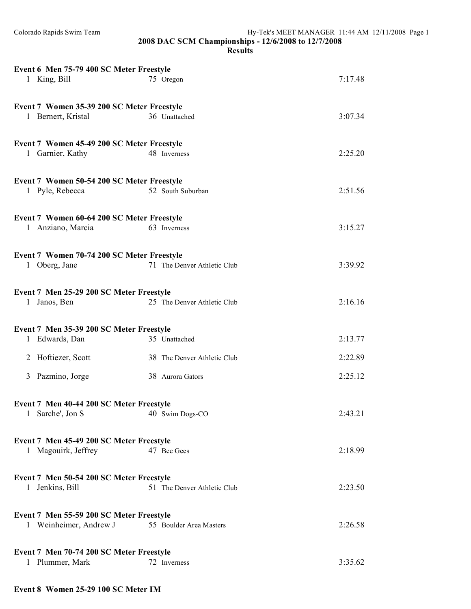#### **Results**

| Event 6 Men 75-79 400 SC Meter Freestyle                    |                             |         |
|-------------------------------------------------------------|-----------------------------|---------|
| 1 King, Bill                                                | 75 Oregon                   | 7:17.48 |
|                                                             |                             |         |
|                                                             |                             |         |
| Event 7 Women 35-39 200 SC Meter Freestyle                  |                             |         |
| 1 Bernert, Kristal                                          | 36 Unattached               | 3:07.34 |
|                                                             |                             |         |
| Event 7 Women 45-49 200 SC Meter Freestyle                  |                             |         |
| 1 Garnier, Kathy                                            | 48 Inverness                | 2:25.20 |
|                                                             |                             |         |
|                                                             |                             |         |
| Event 7 Women 50-54 200 SC Meter Freestyle                  |                             |         |
| 1 Pyle, Rebecca                                             | 52 South Suburban           | 2:51.56 |
|                                                             |                             |         |
| Event 7 Women 60-64 200 SC Meter Freestyle                  |                             |         |
| 1 Anziano, Marcia                                           | 63 Inverness                | 3:15.27 |
|                                                             |                             |         |
|                                                             |                             |         |
| Event 7 Women 70-74 200 SC Meter Freestyle<br>1 Oberg, Jane | 71 The Denver Athletic Club | 3:39.92 |
|                                                             |                             |         |
|                                                             |                             |         |
| Event 7 Men 25-29 200 SC Meter Freestyle                    |                             |         |
| 1 Janos, Ben                                                | 25 The Denver Athletic Club | 2:16.16 |
|                                                             |                             |         |
| Event 7 Men 35-39 200 SC Meter Freestyle                    |                             |         |
| 1 Edwards, Dan                                              | 35 Unattached               | 2:13.77 |
|                                                             |                             |         |
| 2 Hoftiezer, Scott                                          | 38 The Denver Athletic Club | 2:22.89 |
|                                                             |                             |         |
| 3 Pazmino, Jorge                                            | 38 Aurora Gators            | 2:25.12 |
|                                                             |                             |         |
| Event 7 Men 40-44 200 SC Meter Freestyle                    |                             |         |
| Sarche', Jon S<br>1                                         | 40 Swim Dogs-CO             | 2:43.21 |
|                                                             |                             |         |
|                                                             |                             |         |
| Event 7 Men 45-49 200 SC Meter Freestyle                    |                             |         |
| 1 Magouirk, Jeffrey                                         | 47 Bee Gees                 | 2:18.99 |
|                                                             |                             |         |
| Event 7 Men 50-54 200 SC Meter Freestyle                    |                             |         |
| 1 Jenkins, Bill                                             | 51 The Denver Athletic Club | 2:23.50 |
|                                                             |                             |         |
|                                                             |                             |         |
| Event 7 Men 55-59 200 SC Meter Freestyle                    |                             |         |
| 1 Weinheimer, Andrew J                                      | 55 Boulder Area Masters     | 2:26.58 |
|                                                             |                             |         |
| Event 7 Men 70-74 200 SC Meter Freestyle                    |                             |         |
| 1 Plummer, Mark                                             | 72 Inverness                | 3:35.62 |
|                                                             |                             |         |

### **Event 8 Women 25-29 100 SC Meter IM**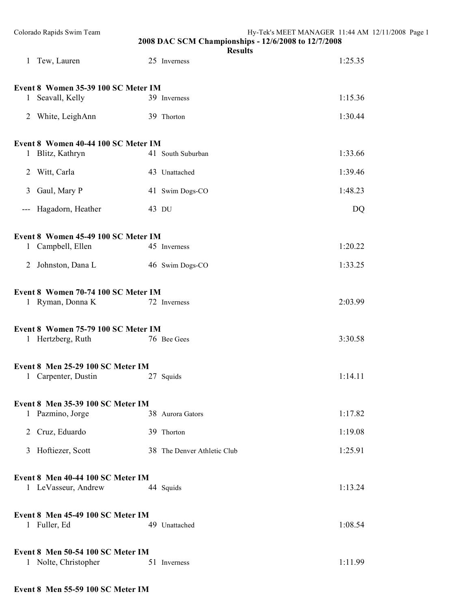| Colorado Rapids Swim Team                                 | 2008 DAC SCM Championships - 12/6/2008 to 12/7/2008<br><b>Results</b> | Hy-Tek's MEET MANAGER 11:44 AM 12/11/2008 Page 1 |
|-----------------------------------------------------------|-----------------------------------------------------------------------|--------------------------------------------------|
| 1 Tew, Lauren                                             | 25 Inverness                                                          | 1:25.35                                          |
| Event 8 Women 35-39 100 SC Meter IM                       |                                                                       |                                                  |
| 1 Seavall, Kelly                                          | 39 Inverness                                                          | 1:15.36                                          |
| 2 White, LeighAnn                                         | 39 Thorton                                                            | 1:30.44                                          |
| Event 8 Women 40-44 100 SC Meter IM                       |                                                                       |                                                  |
| 1 Blitz, Kathryn                                          | 41 South Suburban                                                     | 1:33.66                                          |
| 2 Witt, Carla                                             | 43 Unattached                                                         | 1:39.46                                          |
| Gaul, Mary P<br>3                                         | 41 Swim Dogs-CO                                                       | 1:48.23                                          |
| Hagadorn, Heather<br>$\hspace{0.05cm} \ldots$             | 43 DU                                                                 | DQ                                               |
| Event 8 Women 45-49 100 SC Meter IM                       |                                                                       |                                                  |
| 1 Campbell, Ellen                                         | 45 Inverness                                                          | 1:20.22                                          |
| 2 Johnston, Dana L                                        | 46 Swim Dogs-CO                                                       | 1:33.25                                          |
| Event 8 Women 70-74 100 SC Meter IM<br>1 Ryman, Donna K   | 72 Inverness                                                          | 2:03.99                                          |
| Event 8 Women 75-79 100 SC Meter IM                       |                                                                       |                                                  |
| 1 Hertzberg, Ruth                                         | 76 Bee Gees                                                           | 3:30.58                                          |
| Event 8 Men 25-29 100 SC Meter IM                         |                                                                       |                                                  |
| 1 Carpenter, Dustin                                       | 27 Squids                                                             | 1:14.11                                          |
| Event 8 Men 35-39 100 SC Meter IM                         |                                                                       |                                                  |
| 1 Pazmino, Jorge                                          | 38 Aurora Gators                                                      | 1:17.82                                          |
| 2 Cruz, Eduardo                                           | 39 Thorton                                                            | 1:19.08                                          |
| 3 Hoftiezer, Scott                                        | 38 The Denver Athletic Club                                           | 1:25.91                                          |
| Event 8 Men 40-44 100 SC Meter IM<br>1 LeVasseur, Andrew  | 44 Squids                                                             | 1:13.24                                          |
| Event 8 Men 45-49 100 SC Meter IM<br>1 Fuller, Ed         | 49 Unattached                                                         | 1:08.54                                          |
| Event 8 Men 50-54 100 SC Meter IM<br>1 Nolte, Christopher | 51 Inverness                                                          | 1:11.99                                          |

### **Event 8 Men 55-59 100 SC Meter IM**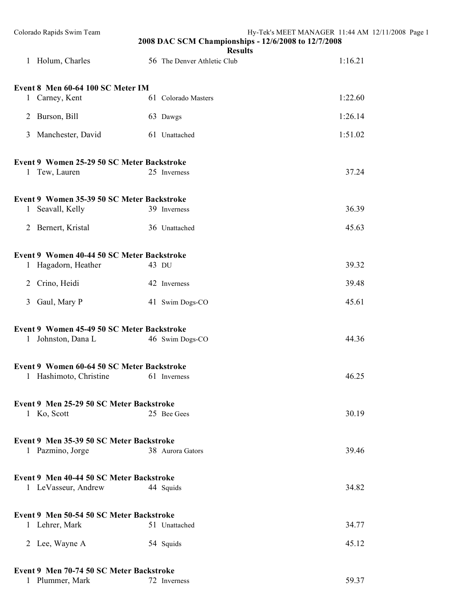| Colorado Rapids Swim Team                  | 2008 DAC SCM Championships - 12/6/2008 to 12/7/2008<br><b>Results</b> | Hy-Tek's MEET MANAGER 11:44 AM 12/11/2008 Page 1 |
|--------------------------------------------|-----------------------------------------------------------------------|--------------------------------------------------|
| 1 Holum, Charles                           | 56 The Denver Athletic Club                                           | 1:16.21                                          |
| Event 8 Men 60-64 100 SC Meter IM          |                                                                       |                                                  |
| 1 Carney, Kent                             | 61 Colorado Masters                                                   | 1:22.60                                          |
| 2 Burson, Bill                             | 63 Dawgs                                                              | 1:26.14                                          |
| 3 Manchester, David                        | 61 Unattached                                                         | 1:51.02                                          |
| Event 9 Women 25-29 50 SC Meter Backstroke |                                                                       |                                                  |
| 1 Tew, Lauren                              | 25 Inverness                                                          | 37.24                                            |
| Event 9 Women 35-39 50 SC Meter Backstroke |                                                                       |                                                  |
| 1 Seavall, Kelly                           | 39 Inverness                                                          | 36.39                                            |
| 2 Bernert, Kristal                         | 36 Unattached                                                         | 45.63                                            |
| Event 9 Women 40-44 50 SC Meter Backstroke |                                                                       |                                                  |
| 1 Hagadorn, Heather                        | 43 DU                                                                 | 39.32                                            |
| 2 Crino, Heidi                             | 42 Inverness                                                          | 39.48                                            |
| 3 Gaul, Mary P                             | 41 Swim Dogs-CO                                                       | 45.61                                            |
| Event 9 Women 45-49 50 SC Meter Backstroke |                                                                       |                                                  |
| 1 Johnston, Dana L                         | 46 Swim Dogs-CO                                                       | 44.36                                            |
| Event 9 Women 60-64 50 SC Meter Backstroke |                                                                       |                                                  |
| 1 Hashimoto, Christine                     | 61 Inverness                                                          | 46.25                                            |
| Event 9 Men 25-29 50 SC Meter Backstroke   |                                                                       |                                                  |
| 1 Ko, Scott                                | 25 Bee Gees                                                           | 30.19                                            |
| Event 9 Men 35-39 50 SC Meter Backstroke   |                                                                       |                                                  |
| 1 Pazmino, Jorge                           | 38 Aurora Gators                                                      | 39.46                                            |
| Event 9 Men 40-44 50 SC Meter Backstroke   |                                                                       |                                                  |
| 1 LeVasseur, Andrew                        | 44 Squids                                                             | 34.82                                            |
| Event 9 Men 50-54 50 SC Meter Backstroke   |                                                                       |                                                  |
| 1 Lehrer, Mark                             | 51 Unattached                                                         | 34.77                                            |
| 2 Lee, Wayne A                             | 54 Squids                                                             | 45.12                                            |
| Event 9 Men 70-74 50 SC Meter Backstroke   |                                                                       |                                                  |
| 1 Plummer, Mark                            | 72 Inverness                                                          | 59.37                                            |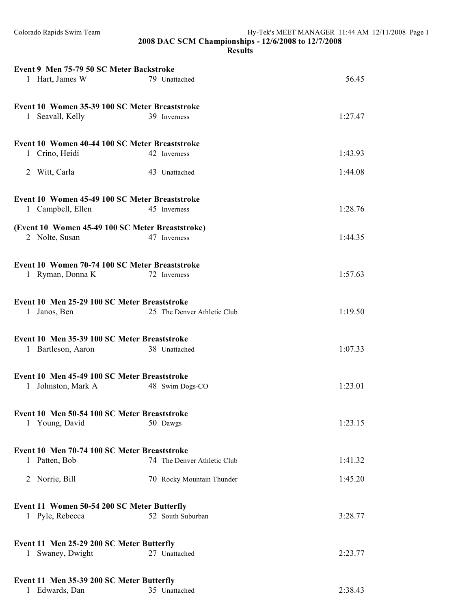## **Results**

| Event 9 Men 75-79 50 SC Meter Backstroke         |                             |         |  |
|--------------------------------------------------|-----------------------------|---------|--|
| 1 Hart, James W                                  | 79 Unattached               | 56.45   |  |
|                                                  |                             |         |  |
| Event 10 Women 35-39 100 SC Meter Breaststroke   |                             |         |  |
| Seavall, Kelly<br>1                              | 39 Inverness                | 1:27.47 |  |
|                                                  |                             |         |  |
| Event 10 Women 40-44 100 SC Meter Breaststroke   |                             |         |  |
| Crino, Heidi<br>1                                | 42 Inverness                | 1:43.93 |  |
|                                                  |                             |         |  |
| Witt, Carla<br>2                                 | 43 Unattached               | 1:44.08 |  |
|                                                  |                             |         |  |
| Event 10 Women 45-49 100 SC Meter Breaststroke   |                             |         |  |
| 1 Campbell, Ellen                                | 45 Inverness                | 1:28.76 |  |
|                                                  |                             |         |  |
| (Event 10 Women 45-49 100 SC Meter Breaststroke) |                             |         |  |
| 2 Nolte, Susan                                   | 47 Inverness                | 1:44.35 |  |
|                                                  |                             |         |  |
| Event 10 Women 70-74 100 SC Meter Breaststroke   |                             |         |  |
| 1 Ryman, Donna K                                 | 72 Inverness                | 1:57.63 |  |
|                                                  |                             |         |  |
| Event 10 Men 25-29 100 SC Meter Breaststroke     |                             |         |  |
| 1 Janos, Ben                                     | 25 The Denver Athletic Club | 1:19.50 |  |
|                                                  |                             |         |  |
| Event 10 Men 35-39 100 SC Meter Breaststroke     |                             |         |  |
| 1 Bartleson, Aaron                               | 38 Unattached               | 1:07.33 |  |
|                                                  |                             |         |  |
|                                                  |                             |         |  |
| Event 10 Men 45-49 100 SC Meter Breaststroke     |                             |         |  |
| 1 Johnston, Mark A                               | 48 Swim Dogs-CO             | 1:23.01 |  |
|                                                  |                             |         |  |
| Event 10 Men 50-54 100 SC Meter Breaststroke     |                             |         |  |
| 1 Young, David                                   | 50 Dawgs                    | 1:23.15 |  |
|                                                  |                             |         |  |
| Event 10 Men 70-74 100 SC Meter Breaststroke     |                             |         |  |
| 1 Patten, Bob                                    | 74 The Denver Athletic Club | 1:41.32 |  |
|                                                  |                             |         |  |
| Norrie, Bill<br>2                                | 70 Rocky Mountain Thunder   | 1:45.20 |  |
|                                                  |                             |         |  |
| Event 11 Women 50-54 200 SC Meter Butterfly      |                             |         |  |
| 1 Pyle, Rebecca                                  | 52 South Suburban           | 3:28.77 |  |
|                                                  |                             |         |  |
| Event 11 Men 25-29 200 SC Meter Butterfly        |                             |         |  |
| Swaney, Dwight<br>$\mathbf{1}$                   | 27 Unattached               | 2:23.77 |  |
|                                                  |                             |         |  |
|                                                  |                             |         |  |
| Event 11 Men 35-39 200 SC Meter Butterfly        |                             |         |  |

1 Edwards, Dan 35 Unattached 2:38.43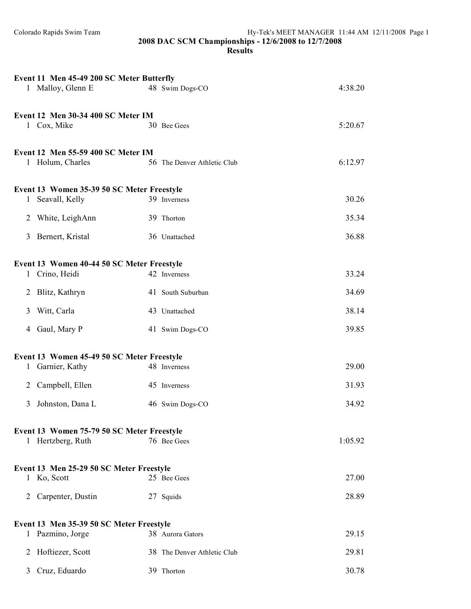|              | Event 11 Men 45-49 200 SC Meter Butterfly                                         |                              |                |
|--------------|-----------------------------------------------------------------------------------|------------------------------|----------------|
|              | 1 Malloy, Glenn E                                                                 | 48 Swim Dogs-CO              | 4:38.20        |
|              | Event 12 Men 30-34 400 SC Meter IM<br>1 Cox, Mike                                 | 30 Bee Gees                  | 5:20.67        |
|              | Event 12 Men 55-59 400 SC Meter IM<br>1 Holum, Charles                            | 56 The Denver Athletic Club  | 6:12.97        |
| $\mathbf{1}$ | Event 13 Women 35-39 50 SC Meter Freestyle<br>Seavall, Kelly                      | 39 Inverness                 | 30.26          |
|              | 2 White, LeighAnn                                                                 | 39 Thorton                   | 35.34          |
| 3            | Bernert, Kristal                                                                  | 36 Unattached                | 36.88          |
| $\mathbf{1}$ | Event 13 Women 40-44 50 SC Meter Freestyle<br>Crino, Heidi                        | 42 Inverness                 | 33.24          |
|              | 2 Blitz, Kathryn                                                                  | 41 South Suburban            | 34.69          |
| 3            | Witt, Carla                                                                       | 43 Unattached                | 38.14          |
| 4            | Gaul, Mary P                                                                      | 41 Swim Dogs-CO              | 39.85          |
| $\mathbf{1}$ | Event 13 Women 45-49 50 SC Meter Freestyle<br>Garnier, Kathy<br>2 Campbell, Ellen | 48 Inverness<br>45 Inverness | 29.00<br>31.93 |
| 3            | Johnston, Dana L                                                                  | 46 Swim Dogs-CO              | 34.92          |
|              | Event 13 Women 75-79 50 SC Meter Freestyle<br>1 Hertzberg, Ruth                   | 76 Bee Gees                  | 1:05.92        |
|              | Event 13 Men 25-29 50 SC Meter Freestyle                                          |                              |                |
|              | 1 Ko, Scott                                                                       | 25 Bee Gees                  | 27.00          |
| 2            | Carpenter, Dustin                                                                 | 27 Squids                    | 28.89          |
|              | Event 13 Men 35-39 50 SC Meter Freestyle<br>1 Pazmino, Jorge                      | 38 Aurora Gators             | 29.15          |
| 2            | Hoftiezer, Scott                                                                  | 38 The Denver Athletic Club  | 29.81          |
|              | 3 Cruz, Eduardo                                                                   | 39 Thorton                   | 30.78          |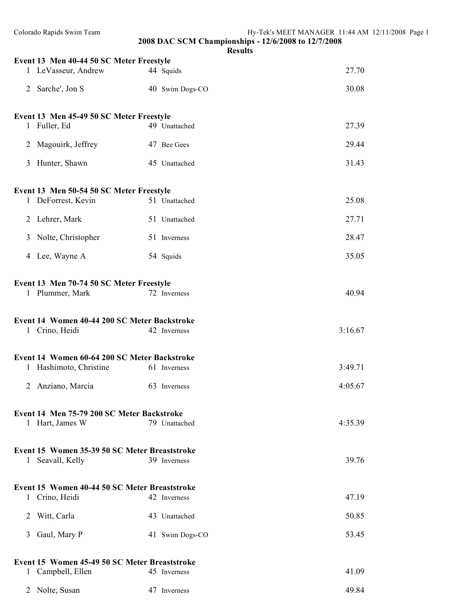| Colorado Rapids Swim Team                                              |                 | Hy-Tek's MEET MANAGER 11:44 AM 12/11/2008 Page 1<br>2008 DAC SCM Championships - 12/6/2008 to 12/7/2008<br><b>Results</b> |
|------------------------------------------------------------------------|-----------------|---------------------------------------------------------------------------------------------------------------------------|
| Event 13 Men 40-44 50 SC Meter Freestyle                               |                 |                                                                                                                           |
| 1 LeVasseur, Andrew                                                    | 44 Squids       | 27.70                                                                                                                     |
| 2 Sarche', Jon S                                                       | 40 Swim Dogs-CO | 30.08                                                                                                                     |
| Event 13 Men 45-49 50 SC Meter Freestyle                               |                 |                                                                                                                           |
| 1 Fuller, Ed                                                           | 49 Unattached   | 27.39                                                                                                                     |
| 2 Magouirk, Jeffrey                                                    | 47 Bee Gees     | 29.44                                                                                                                     |
| 3 Hunter, Shawn                                                        | 45 Unattached   | 31.43                                                                                                                     |
| Event 13 Men 50-54 50 SC Meter Freestyle                               |                 |                                                                                                                           |
| 1 DeForrest, Kevin                                                     | 51 Unattached   | 25.08                                                                                                                     |
| 2 Lehrer, Mark                                                         | 51 Unattached   | 27.71                                                                                                                     |
| 3 Nolte, Christopher                                                   | 51 Inverness    | 28.47                                                                                                                     |
|                                                                        |                 |                                                                                                                           |
| 4 Lee, Wayne A                                                         | 54 Squids       | 35.05                                                                                                                     |
| Event 13 Men 70-74 50 SC Meter Freestyle                               |                 |                                                                                                                           |
| 1 Plummer, Mark                                                        | 72 Inverness    | 40.94                                                                                                                     |
| Event 14 Women 40-44 200 SC Meter Backstroke<br>1 Crino, Heidi         | 42 Inverness    | 3:16.67                                                                                                                   |
|                                                                        |                 |                                                                                                                           |
| Event 14 Women 60-64 200 SC Meter Backstroke<br>1 Hashimoto, Christine | 61 Inverness    | 3:49.71                                                                                                                   |
| 2 Anziano, Marcia                                                      | 63 Inverness    | 4:05.67                                                                                                                   |
| Event 14 Men 75-79 200 SC Meter Backstroke                             |                 |                                                                                                                           |
| 1 Hart, James W                                                        | 79 Unattached   | 4:35.39                                                                                                                   |
| Event 15 Women 35-39 50 SC Meter Breaststroke                          |                 |                                                                                                                           |
| 1 Seavall, Kelly                                                       | 39 Inverness    | 39.76                                                                                                                     |
|                                                                        |                 |                                                                                                                           |
| Event 15 Women 40-44 50 SC Meter Breaststroke                          |                 |                                                                                                                           |
| 1 Crino, Heidi                                                         | 42 Inverness    | 47.19                                                                                                                     |
| 2 Witt, Carla                                                          | 43 Unattached   | 50.85                                                                                                                     |
| Gaul, Mary P<br>3                                                      | 41 Swim Dogs-CO | 53.45                                                                                                                     |
|                                                                        |                 |                                                                                                                           |
| Event 15 Women 45-49 50 SC Meter Breaststroke                          |                 |                                                                                                                           |
| 1 Campbell, Ellen                                                      | 45 Inverness    | 41.09                                                                                                                     |
| 2 Nolte, Susan                                                         | 47 Inverness    | 49.84                                                                                                                     |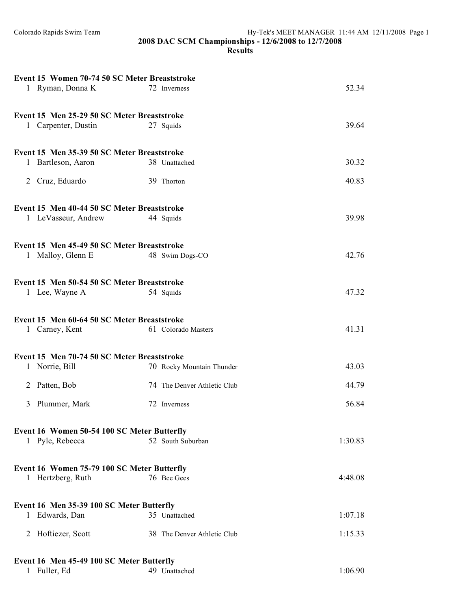| Event 15 Women 70-74 50 SC Meter Breaststroke                           |                             |         |
|-------------------------------------------------------------------------|-----------------------------|---------|
| 1 Ryman, Donna K                                                        | 72 Inverness                | 52.34   |
|                                                                         |                             |         |
| Event 15 Men 25-29 50 SC Meter Breaststroke                             |                             |         |
| 1 Carpenter, Dustin                                                     | 27 Squids                   | 39.64   |
|                                                                         |                             |         |
| Event 15 Men 35-39 50 SC Meter Breaststroke                             |                             |         |
| Bartleson, Aaron<br>$\mathbf{1}$                                        | 38 Unattached               | 30.32   |
|                                                                         |                             |         |
| 2 Cruz, Eduardo                                                         | 39 Thorton                  | 40.83   |
|                                                                         |                             |         |
| Event 15 Men 40-44 50 SC Meter Breaststroke                             |                             |         |
| 1 LeVasseur, Andrew                                                     | 44 Squids                   | 39.98   |
|                                                                         |                             |         |
| Event 15 Men 45-49 50 SC Meter Breaststroke                             |                             |         |
| 1 Malloy, Glenn E                                                       | 48 Swim Dogs-CO             | 42.76   |
|                                                                         |                             |         |
| Event 15 Men 50-54 50 SC Meter Breaststroke                             |                             |         |
| 1 Lee, Wayne A                                                          | 54 Squids                   | 47.32   |
|                                                                         |                             |         |
| Event 15 Men 60-64 50 SC Meter Breaststroke                             |                             |         |
| 1 Carney, Kent                                                          | 61 Colorado Masters         | 41.31   |
|                                                                         |                             |         |
| Event 15 Men 70-74 50 SC Meter Breaststroke                             |                             |         |
| 1 Norrie, Bill                                                          | 70 Rocky Mountain Thunder   | 43.03   |
| 2 Patten, Bob                                                           | 74 The Denver Athletic Club | 44.79   |
|                                                                         |                             |         |
| Plummer, Mark<br>3                                                      | 72 Inverness                | 56.84   |
|                                                                         |                             |         |
| Event 16 Women 50-54 100 SC Meter Butterfly                             |                             |         |
| 1 Pyle, Rebecca                                                         | 52 South Suburban           | 1:30.83 |
|                                                                         |                             |         |
| Event 16 Women 75-79 100 SC Meter Butterfly                             |                             |         |
| 1 Hertzberg, Ruth                                                       | 76 Bee Gees                 | 4:48.08 |
|                                                                         |                             |         |
| Event 16 Men 35-39 100 SC Meter Butterfly                               |                             |         |
| Edwards, Dan<br>1                                                       | 35 Unattached               | 1:07.18 |
| Hoftiezer, Scott<br>2                                                   | 38 The Denver Athletic Club | 1:15.33 |
|                                                                         |                             |         |
|                                                                         |                             |         |
| Event 16 Men 45-49 100 SC Meter Butterfly<br>Fuller, Ed<br>$\mathbf{1}$ | 49 Unattached               | 1:06.90 |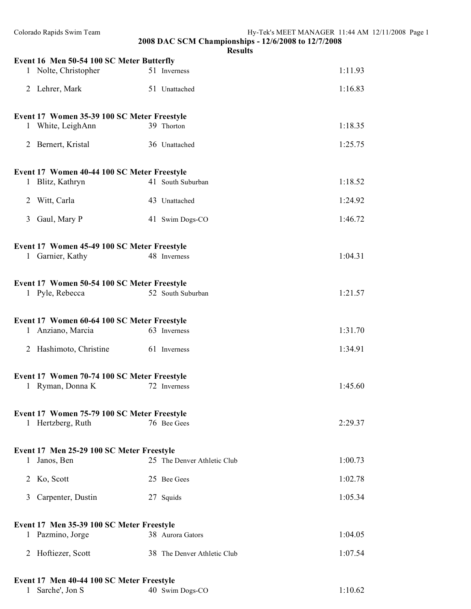| Colorado Rapids Swim Team                                         | 2008 DAC SCM Championships - 12/6/2008 to 12/7/2008 | Hy-Tek's MEET MANAGER 11:44 AM 12/11/2008 Page 1 |  |  |
|-------------------------------------------------------------------|-----------------------------------------------------|--------------------------------------------------|--|--|
|                                                                   | <b>Results</b>                                      |                                                  |  |  |
| Event 16 Men 50-54 100 SC Meter Butterfly<br>1 Nolte, Christopher | 51 Inverness                                        | 1:11.93                                          |  |  |
| 2 Lehrer, Mark                                                    | 51 Unattached                                       | 1:16.83                                          |  |  |
|                                                                   |                                                     |                                                  |  |  |
| Event 17 Women 35-39 100 SC Meter Freestyle<br>1 White, LeighAnn  | 39 Thorton                                          | 1:18.35                                          |  |  |
| 2 Bernert, Kristal                                                | 36 Unattached                                       | 1:25.75                                          |  |  |
|                                                                   |                                                     |                                                  |  |  |
| Event 17 Women 40-44 100 SC Meter Freestyle                       |                                                     |                                                  |  |  |
| 1 Blitz, Kathryn                                                  | 41 South Suburban                                   | 1:18.52                                          |  |  |
| 2 Witt, Carla                                                     | 43 Unattached                                       | 1:24.92                                          |  |  |
| Gaul, Mary P<br>$\mathfrak{Z}$                                    | 41 Swim Dogs-CO                                     | 1:46.72                                          |  |  |
| Event 17 Women 45-49 100 SC Meter Freestyle                       |                                                     |                                                  |  |  |
| 1 Garnier, Kathy                                                  | 48 Inverness                                        | 1:04.31                                          |  |  |
|                                                                   |                                                     |                                                  |  |  |
| Event 17 Women 50-54 100 SC Meter Freestyle                       |                                                     |                                                  |  |  |
| 1 Pyle, Rebecca                                                   | 52 South Suburban                                   | 1:21.57                                          |  |  |
| Event 17 Women 60-64 100 SC Meter Freestyle                       |                                                     |                                                  |  |  |
| 1 Anziano, Marcia                                                 | 63 Inverness                                        | 1:31.70                                          |  |  |
| 2 Hashimoto, Christine                                            | 61 Inverness                                        | 1:34.91                                          |  |  |
|                                                                   |                                                     |                                                  |  |  |
| Event 17 Women 70-74 100 SC Meter Freestyle                       |                                                     |                                                  |  |  |
| 1 Ryman, Donna K                                                  | 72 Inverness                                        | 1:45.60                                          |  |  |
| Event 17 Women 75-79 100 SC Meter Freestyle                       |                                                     |                                                  |  |  |
| 1 Hertzberg, Ruth                                                 | 76 Bee Gees                                         | 2:29.37                                          |  |  |
|                                                                   |                                                     |                                                  |  |  |
| Event 17 Men 25-29 100 SC Meter Freestyle<br>1 Janos, Ben         | 25 The Denver Athletic Club                         | 1:00.73                                          |  |  |
| 2 Ko, Scott                                                       | 25 Bee Gees                                         | 1:02.78                                          |  |  |
| 3 Carpenter, Dustin                                               | 27 Squids                                           | 1:05.34                                          |  |  |
|                                                                   |                                                     |                                                  |  |  |
| Event 17 Men 35-39 100 SC Meter Freestyle                         |                                                     |                                                  |  |  |
| 1 Pazmino, Jorge                                                  | 38 Aurora Gators                                    | 1:04.05                                          |  |  |
| 2 Hoftiezer, Scott                                                | 38 The Denver Athletic Club                         | 1:07.54                                          |  |  |
|                                                                   |                                                     |                                                  |  |  |
| Event 17 Men 40-44 100 SC Meter Freestyle                         |                                                     |                                                  |  |  |
| Sarche', Jon S<br>$\mathbf{1}$                                    | 40 Swim Dogs-CO                                     | 1:10.62                                          |  |  |